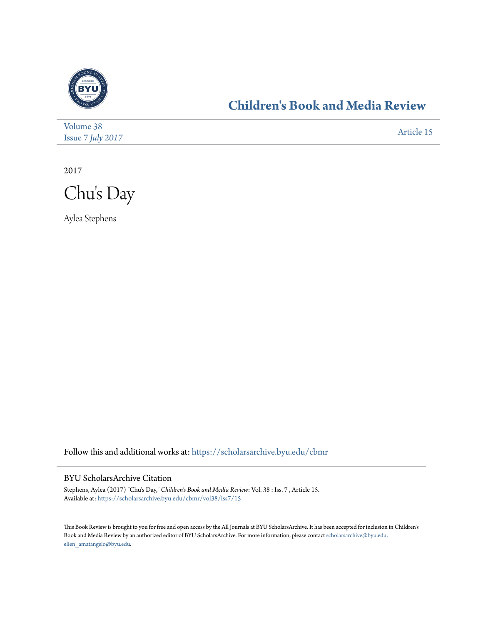

## **[Children's Book and Media Review](https://scholarsarchive.byu.edu/cbmr?utm_source=scholarsarchive.byu.edu%2Fcbmr%2Fvol38%2Fiss7%2F15&utm_medium=PDF&utm_campaign=PDFCoverPages)**

| Volume 38                | Article 15 |
|--------------------------|------------|
| <b>Issue 7 July 2017</b> |            |

2017



Aylea Stephens

Follow this and additional works at: [https://scholarsarchive.byu.edu/cbmr](https://scholarsarchive.byu.edu/cbmr?utm_source=scholarsarchive.byu.edu%2Fcbmr%2Fvol38%2Fiss7%2F15&utm_medium=PDF&utm_campaign=PDFCoverPages)

## BYU ScholarsArchive Citation

Stephens, Aylea (2017) "Chu's Day," *Children's Book and Media Review*: Vol. 38 : Iss. 7 , Article 15. Available at: [https://scholarsarchive.byu.edu/cbmr/vol38/iss7/15](https://scholarsarchive.byu.edu/cbmr/vol38/iss7/15?utm_source=scholarsarchive.byu.edu%2Fcbmr%2Fvol38%2Fiss7%2F15&utm_medium=PDF&utm_campaign=PDFCoverPages)

This Book Review is brought to you for free and open access by the All Journals at BYU ScholarsArchive. It has been accepted for inclusion in Children's Book and Media Review by an authorized editor of BYU ScholarsArchive. For more information, please contact [scholarsarchive@byu.edu,](mailto:scholarsarchive@byu.edu,%20ellen_amatangelo@byu.edu) [ellen\\_amatangelo@byu.edu.](mailto:scholarsarchive@byu.edu,%20ellen_amatangelo@byu.edu)